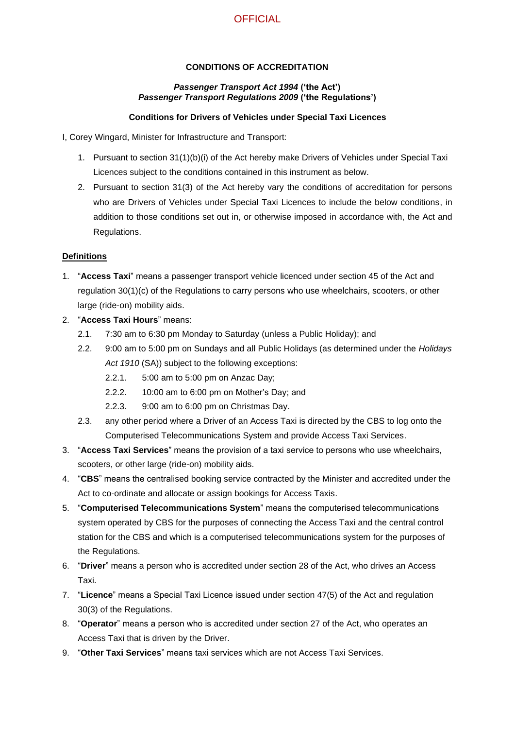# **OFFICIAL**

### **CONDITIONS OF ACCREDITATION**

#### *Passenger Transport Act 1994* **('the Act')** *Passenger Transport Regulations 2009* **('the Regulations')**

#### **Conditions for Drivers of Vehicles under Special Taxi Licences**

I, Corey Wingard, Minister for Infrastructure and Transport:

- 1. Pursuant to section 31(1)(b)(i) of the Act hereby make Drivers of Vehicles under Special Taxi Licences subject to the conditions contained in this instrument as below.
- 2. Pursuant to section 31(3) of the Act hereby vary the conditions of accreditation for persons who are Drivers of Vehicles under Special Taxi Licences to include the below conditions, in addition to those conditions set out in, or otherwise imposed in accordance with, the Act and Regulations.

#### **Definitions**

- 1. "**Access Taxi**" means a passenger transport vehicle licenced under section 45 of the Act and regulation 30(1)(c) of the Regulations to carry persons who use wheelchairs, scooters, or other large (ride-on) mobility aids.
- 2. "**Access Taxi Hours**" means:
	- 2.1. 7:30 am to 6:30 pm Monday to Saturday (unless a Public Holiday); and
	- 2.2. 9:00 am to 5:00 pm on Sundays and all Public Holidays (as determined under the *Holidays*  Act 1910 (SA)) subject to the following exceptions:
		- 2.2.1. 5:00 am to 5:00 pm on Anzac Day;
		- 2.2.2. 10:00 am to 6:00 pm on Mother's Day; and
		- 2.2.3. 9:00 am to 6:00 pm on Christmas Day.
	- 2.3. any other period where a Driver of an Access Taxi is directed by the CBS to log onto the Computerised Telecommunications System and provide Access Taxi Services.
- 3. "**Access Taxi Services**" means the provision of a taxi service to persons who use wheelchairs, scooters, or other large (ride-on) mobility aids.
- 4. "**CBS**" means the centralised booking service contracted by the Minister and accredited under the Act to co-ordinate and allocate or assign bookings for Access Taxis.
- 5. "**Computerised Telecommunications System**" means the computerised telecommunications system operated by CBS for the purposes of connecting the Access Taxi and the central control station for the CBS and which is a computerised telecommunications system for the purposes of the Regulations.
- 6. "**Driver**" means a person who is accredited under section 28 of the Act, who drives an Access Taxi.
- 7. "**Licence**" means a Special Taxi Licence issued under section 47(5) of the Act and regulation 30(3) of the Regulations.
- 8. "**Operator**" means a person who is accredited under section 27 of the Act, who operates an Access Taxi that is driven by the Driver.
- 9. "**Other Taxi Services**" means taxi services which are not Access Taxi Services.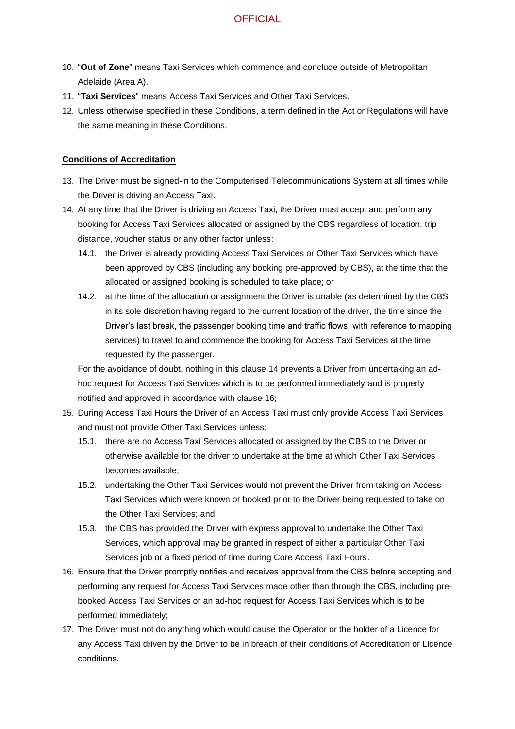## **OFFICIAL**

- 10. "**Out of Zone**" means Taxi Services which commence and conclude outside of Metropolitan Adelaide (Area A).
- 11. "**Taxi Services**" means Access Taxi Services and Other Taxi Services.
- 12. Unless otherwise specified in these Conditions, a term defined in the Act or Regulations will have the same meaning in these Conditions.

#### **Conditions of Accreditation**

- 13. The Driver must be signed-in to the Computerised Telecommunications System at all times while the Driver is driving an Access Taxi.
- <span id="page-1-0"></span>14. At any time that the Driver is driving an Access Taxi, the Driver must accept and perform any booking for Access Taxi Services allocated or assigned by the CBS regardless of location, trip distance, voucher status or any other factor unless:
	- 14.1. the Driver is already providing Access Taxi Services or Other Taxi Services which have been approved by CBS (including any booking pre-approved by CBS), at the time that the allocated or assigned booking is scheduled to take place; or
	- 14.2. at the time of the allocation or assignment the Driver is unable (as determined by the CBS in its sole discretion having regard to the current location of the driver, the time since the Driver's last break, the passenger booking time and traffic flows, with reference to mapping services) to travel to and commence the booking for Access Taxi Services at the time requested by the passenger.

For the avoidance of doubt, nothing in this clause [14](#page-1-0) prevents a Driver from undertaking an adhoc request for Access Taxi Services which is to be performed immediately and is properly notified and approved in accordance with clause [16;](#page-1-1)

- 15. During Access Taxi Hours the Driver of an Access Taxi must only provide Access Taxi Services and must not provide Other Taxi Services unless:
	- 15.1. there are no Access Taxi Services allocated or assigned by the CBS to the Driver or otherwise available for the driver to undertake at the time at which Other Taxi Services becomes available;
	- 15.2. undertaking the Other Taxi Services would not prevent the Driver from taking on Access Taxi Services which were known or booked prior to the Driver being requested to take on the Other Taxi Services; and
	- 15.3. the CBS has provided the Driver with express approval to undertake the Other Taxi Services, which approval may be granted in respect of either a particular Other Taxi Services job or a fixed period of time during Core Access Taxi Hours.
- <span id="page-1-1"></span>16. Ensure that the Driver promptly notifies and receives approval from the CBS before accepting and performing any request for Access Taxi Services made other than through the CBS, including prebooked Access Taxi Services or an ad-hoc request for Access Taxi Services which is to be performed immediately;
- 17. The Driver must not do anything which would cause the Operator or the holder of a Licence for any Access Taxi driven by the Driver to be in breach of their conditions of Accreditation or Licence conditions.